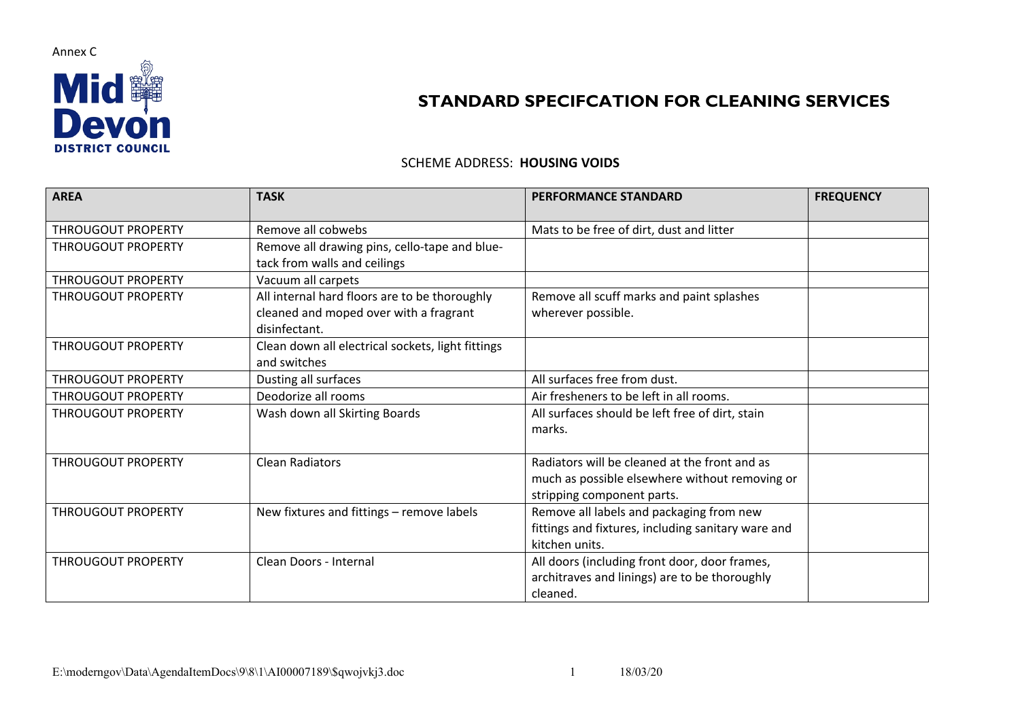

## **STANDARD SPECIFCATION FOR CLEANING SERVICES**

## SCHEME ADDRESS: **HOUSING VOIDS**

| <b>AREA</b>               | <b>TASK</b>                                                                                              | <b>PERFORMANCE STANDARD</b>                                                                                                   | <b>FREQUENCY</b> |
|---------------------------|----------------------------------------------------------------------------------------------------------|-------------------------------------------------------------------------------------------------------------------------------|------------------|
| <b>THROUGOUT PROPERTY</b> | Remove all cobwebs                                                                                       | Mats to be free of dirt, dust and litter                                                                                      |                  |
| <b>THROUGOUT PROPERTY</b> | Remove all drawing pins, cello-tape and blue-<br>tack from walls and ceilings                            |                                                                                                                               |                  |
| THROUGOUT PROPERTY        | Vacuum all carpets                                                                                       |                                                                                                                               |                  |
| <b>THROUGOUT PROPERTY</b> | All internal hard floors are to be thoroughly<br>cleaned and moped over with a fragrant<br>disinfectant. | Remove all scuff marks and paint splashes<br>wherever possible.                                                               |                  |
| THROUGOUT PROPERTY        | Clean down all electrical sockets, light fittings<br>and switches                                        |                                                                                                                               |                  |
| <b>THROUGOUT PROPERTY</b> | Dusting all surfaces                                                                                     | All surfaces free from dust.                                                                                                  |                  |
| <b>THROUGOUT PROPERTY</b> | Deodorize all rooms                                                                                      | Air fresheners to be left in all rooms.                                                                                       |                  |
| THROUGOUT PROPERTY        | Wash down all Skirting Boards                                                                            | All surfaces should be left free of dirt, stain<br>marks.                                                                     |                  |
| <b>THROUGOUT PROPERTY</b> | <b>Clean Radiators</b>                                                                                   | Radiators will be cleaned at the front and as<br>much as possible elsewhere without removing or<br>stripping component parts. |                  |
| <b>THROUGOUT PROPERTY</b> | New fixtures and fittings - remove labels                                                                | Remove all labels and packaging from new<br>fittings and fixtures, including sanitary ware and<br>kitchen units.              |                  |
| <b>THROUGOUT PROPERTY</b> | Clean Doors - Internal                                                                                   | All doors (including front door, door frames,<br>architraves and linings) are to be thoroughly<br>cleaned.                    |                  |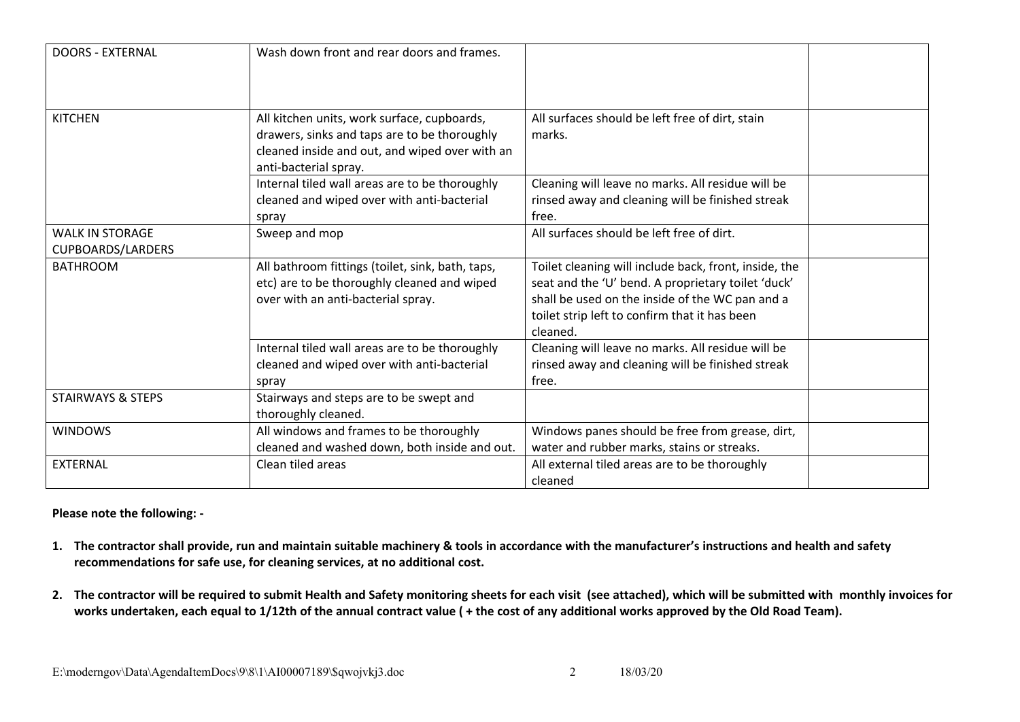| <b>DOORS - EXTERNAL</b>                            | Wash down front and rear doors and frames.                                                                                                                             |                                                                                                                                                                                                                             |  |
|----------------------------------------------------|------------------------------------------------------------------------------------------------------------------------------------------------------------------------|-----------------------------------------------------------------------------------------------------------------------------------------------------------------------------------------------------------------------------|--|
|                                                    |                                                                                                                                                                        |                                                                                                                                                                                                                             |  |
| <b>KITCHEN</b>                                     | All kitchen units, work surface, cupboards,<br>drawers, sinks and taps are to be thoroughly<br>cleaned inside and out, and wiped over with an<br>anti-bacterial spray. | All surfaces should be left free of dirt, stain<br>marks.                                                                                                                                                                   |  |
|                                                    | Internal tiled wall areas are to be thoroughly<br>cleaned and wiped over with anti-bacterial<br>spray                                                                  | Cleaning will leave no marks. All residue will be<br>rinsed away and cleaning will be finished streak<br>free.                                                                                                              |  |
| <b>WALK IN STORAGE</b><br><b>CUPBOARDS/LARDERS</b> | Sweep and mop                                                                                                                                                          | All surfaces should be left free of dirt.                                                                                                                                                                                   |  |
| <b>BATHROOM</b>                                    | All bathroom fittings (toilet, sink, bath, taps,<br>etc) are to be thoroughly cleaned and wiped<br>over with an anti-bacterial spray.                                  | Toilet cleaning will include back, front, inside, the<br>seat and the 'U' bend. A proprietary toilet 'duck'<br>shall be used on the inside of the WC pan and a<br>toilet strip left to confirm that it has been<br>cleaned. |  |
|                                                    | Internal tiled wall areas are to be thoroughly<br>cleaned and wiped over with anti-bacterial<br>spray                                                                  | Cleaning will leave no marks. All residue will be<br>rinsed away and cleaning will be finished streak<br>free.                                                                                                              |  |
| <b>STAIRWAYS &amp; STEPS</b>                       | Stairways and steps are to be swept and<br>thoroughly cleaned.                                                                                                         |                                                                                                                                                                                                                             |  |
| <b>WINDOWS</b>                                     | All windows and frames to be thoroughly<br>cleaned and washed down, both inside and out.                                                                               | Windows panes should be free from grease, dirt,<br>water and rubber marks, stains or streaks.                                                                                                                               |  |
| <b>EXTERNAL</b>                                    | Clean tiled areas                                                                                                                                                      | All external tiled areas are to be thoroughly<br>cleaned                                                                                                                                                                    |  |

## **Please note the following: -**

- 1. The contractor shall provide, run and maintain suitable machinery & tools in accordance with the manufacturer's instructions and health and safety **recommendations for safe use, for cleaning services, at no additional cost.**
- 2. The contractor will be required to submit Health and Safety monitoring sheets for each visit (see attached), which will be submitted with monthly invoices for works undertaken, each equal to 1/12th of the annual contract value ( + the cost of any additional works approved by the Old Road Team).